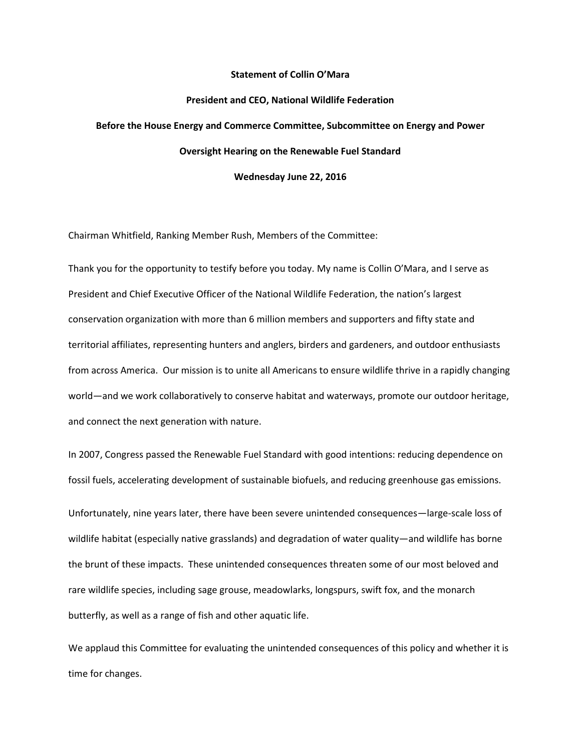## **Statement of Collin O'Mara**

### **President and CEO, National Wildlife Federation**

# **Before the House Energy and Commerce Committee, Subcommittee on Energy and Power Oversight Hearing on the Renewable Fuel Standard**

**Wednesday June 22, 2016**

Chairman Whitfield, Ranking Member Rush, Members of the Committee:

Thank you for the opportunity to testify before you today. My name is Collin O'Mara, and I serve as President and Chief Executive Officer of the National Wildlife Federation, the nation's largest conservation organization with more than 6 million members and supporters and fifty state and territorial affiliates, representing hunters and anglers, birders and gardeners, and outdoor enthusiasts from across America. Our mission is to unite all Americans to ensure wildlife thrive in a rapidly changing world—and we work collaboratively to conserve habitat and waterways, promote our outdoor heritage, and connect the next generation with nature.

In 2007, Congress passed the Renewable Fuel Standard with good intentions: reducing dependence on fossil fuels, accelerating development of sustainable biofuels, and reducing greenhouse gas emissions. Unfortunately, nine years later, there have been severe unintended consequences—large-scale loss of wildlife habitat (especially native grasslands) and degradation of water quality—and wildlife has borne the brunt of these impacts. These unintended consequences threaten some of our most beloved and rare wildlife species, including sage grouse, meadowlarks, longspurs, swift fox, and the monarch butterfly, as well as a range of fish and other aquatic life.

We applaud this Committee for evaluating the unintended consequences of this policy and whether it is time for changes.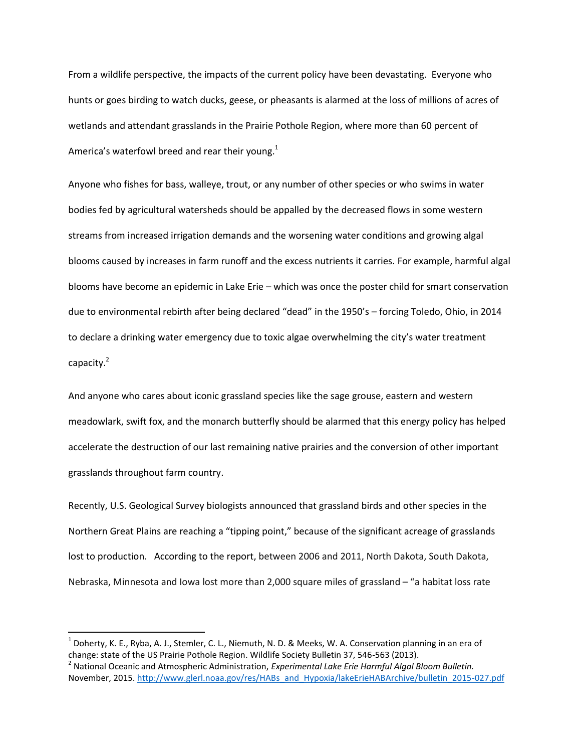From a wildlife perspective, the impacts of the current policy have been devastating. Everyone who hunts or goes birding to watch ducks, geese, or pheasants is alarmed at the loss of millions of acres of wetlands and attendant grasslands in the Prairie Pothole Region, where more than 60 percent of America's waterfowl breed and rear their young. $1$ 

Anyone who fishes for bass, walleye, trout, or any number of other species or who swims in water bodies fed by agricultural watersheds should be appalled by the decreased flows in some western streams from increased irrigation demands and the worsening water conditions and growing algal blooms caused by increases in farm runoff and the excess nutrients it carries. For example, harmful algal blooms have become an epidemic in Lake Erie – which was once the poster child for smart conservation due to environmental rebirth after being declared "dead" in the 1950's – forcing Toledo, Ohio, in 2014 to declare a drinking water emergency due to toxic algae overwhelming the city's water treatment capacity.<sup>2</sup>

And anyone who cares about iconic grassland species like the sage grouse, eastern and western meadowlark, swift fox, and the monarch butterfly should be alarmed that this energy policy has helped accelerate the destruction of our last remaining native prairies and the conversion of other important grasslands throughout farm country.

Recently, U.S. Geological Survey biologists announced that grassland birds and other species in the Northern Great Plains are reaching a "tipping point," because of the significant acreage of grasslands lost to production. According to the report, between 2006 and 2011, North Dakota, South Dakota, Nebraska, Minnesota and Iowa lost more than 2,000 square miles of grassland – "a habitat loss rate

<sup>&</sup>lt;sup>1</sup> Doherty, K. E., Ryba, A. J., Stemler, C. L., Niemuth, N. D. & Meeks, W. A. Conservation planning in an era of change: state of the US Prairie Pothole Region. Wildlife Society Bulletin 37, 546-563 (2013).

<sup>2</sup> National Oceanic and Atmospheric Administration, *Experimental Lake Erie Harmful Algal Bloom Bulletin.* November, 2015[. http://www.glerl.noaa.gov/res/HABs\\_and\\_Hypoxia/lakeErieHABArchive/bulletin\\_2015-027.pdf](http://www.glerl.noaa.gov/res/HABs_and_Hypoxia/lakeErieHABArchive/bulletin_2015-027.pdf)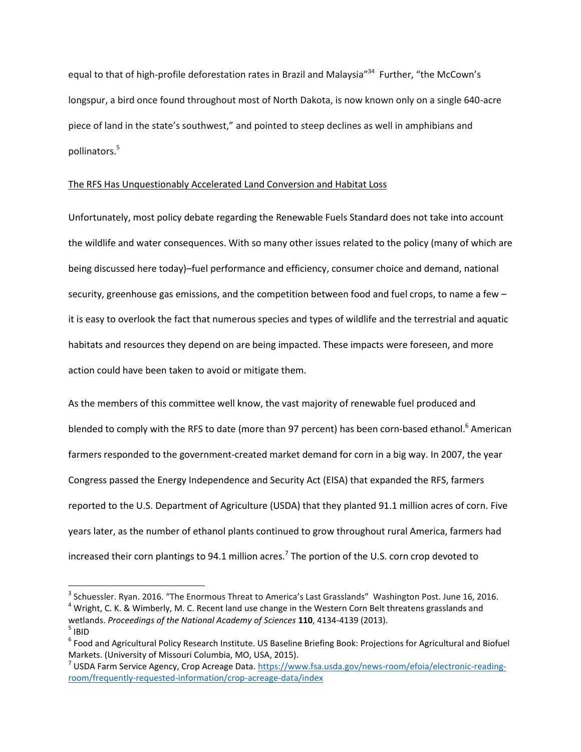equal to that of high-profile deforestation rates in Brazil and Malaysia"<sup>34</sup> Further, "the McCown's longspur, a bird once found throughout most of North Dakota, is now known only on a single 640-acre piece of land in the state's southwest," and pointed to steep declines as well in amphibians and pollinators.<sup>5</sup>

# The RFS Has Unquestionably Accelerated Land Conversion and Habitat Loss

Unfortunately, most policy debate regarding the Renewable Fuels Standard does not take into account the wildlife and water consequences. With so many other issues related to the policy (many of which are being discussed here today)–fuel performance and efficiency, consumer choice and demand, national security, greenhouse gas emissions, and the competition between food and fuel crops, to name a few – it is easy to overlook the fact that numerous species and types of wildlife and the terrestrial and aquatic habitats and resources they depend on are being impacted. These impacts were foreseen, and more action could have been taken to avoid or mitigate them.

As the members of this committee well know, the vast majority of renewable fuel produced and blended to comply with the RFS to date (more than 97 percent) has been corn-based ethanol.<sup>6</sup> American farmers responded to the government-created market demand for corn in a big way. In 2007, the year Congress passed the Energy Independence and Security Act (EISA) that expanded the RFS, farmers reported to the U.S. Department of Agriculture (USDA) that they planted 91.1 million acres of corn. Five years later, as the number of ethanol plants continued to grow throughout rural America, farmers had increased their corn plantings to 94.1 million acres.<sup>7</sup> The portion of the U.S. corn crop devoted to

<sup>&</sup>lt;sup>3</sup> Schuessler. Ryan. 2016. "The Enormous Threat to America's Last Grasslands" Washington Post. June 16, 2016.

<sup>&</sup>lt;sup>4</sup> Wright, C. K. & Wimberly, M. C. Recent land use change in the Western Corn Belt threatens grasslands and wetlands. *Proceedings of the National Academy of Sciences* **110**, 4134-4139 (2013).  $^5$  IBID

<sup>&</sup>lt;sup>6</sup> Food and Agricultural Policy Research Institute. US Baseline Briefing Book: Projections for Agricultural and Biofuel Markets. (University of Missouri Columbia, MO, USA, 2015).

<sup>&</sup>lt;sup>7</sup> USDA Farm Service Agency, Crop Acreage Data. [https://www.fsa.usda.gov/news-room/efoia/electronic-reading](https://www.fsa.usda.gov/news-room/efoia/electronic-reading-room/frequently-requested-information/crop-acreage-data/index)[room/frequently-requested-information/crop-acreage-data/index](https://www.fsa.usda.gov/news-room/efoia/electronic-reading-room/frequently-requested-information/crop-acreage-data/index)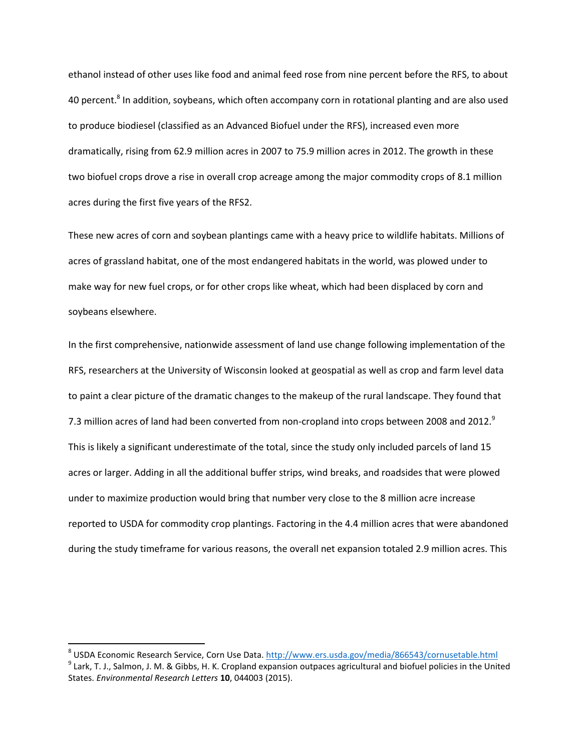ethanol instead of other uses like food and animal feed rose from nine percent before the RFS, to about 40 percent.<sup>8</sup> In addition, soybeans, which often accompany corn in rotational planting and are also used to produce biodiesel (classified as an Advanced Biofuel under the RFS), increased even more dramatically, rising from 62.9 million acres in 2007 to 75.9 million acres in 2012. The growth in these two biofuel crops drove a rise in overall crop acreage among the major commodity crops of 8.1 million acres during the first five years of the RFS2.

These new acres of corn and soybean plantings came with a heavy price to wildlife habitats. Millions of acres of grassland habitat, one of the most endangered habitats in the world, was plowed under to make way for new fuel crops, or for other crops like wheat, which had been displaced by corn and soybeans elsewhere.

In the first comprehensive, nationwide assessment of land use change following implementation of the RFS, researchers at the University of Wisconsin looked at geospatial as well as crop and farm level data to paint a clear picture of the dramatic changes to the makeup of the rural landscape. They found that 7.3 million acres of land had been converted from non-cropland into crops between 2008 and 2012.<sup>9</sup> This is likely a significant underestimate of the total, since the study only included parcels of land 15 acres or larger. Adding in all the additional buffer strips, wind breaks, and roadsides that were plowed under to maximize production would bring that number very close to the 8 million acre increase reported to USDA for commodity crop plantings. Factoring in the 4.4 million acres that were abandoned during the study timeframe for various reasons, the overall net expansion totaled 2.9 million acres. This

<sup>&</sup>lt;sup>8</sup> USDA Economic Research Service, Corn Use Data[. http://www.ers.usda.gov/media/866543/cornusetable.html](http://www.ers.usda.gov/media/866543/cornusetable.html)

 $^9$  Lark, T. J., Salmon, J. M. & Gibbs, H. K. Cropland expansion outpaces agricultural and biofuel policies in the United States. *Environmental Research Letters* **10**, 044003 (2015).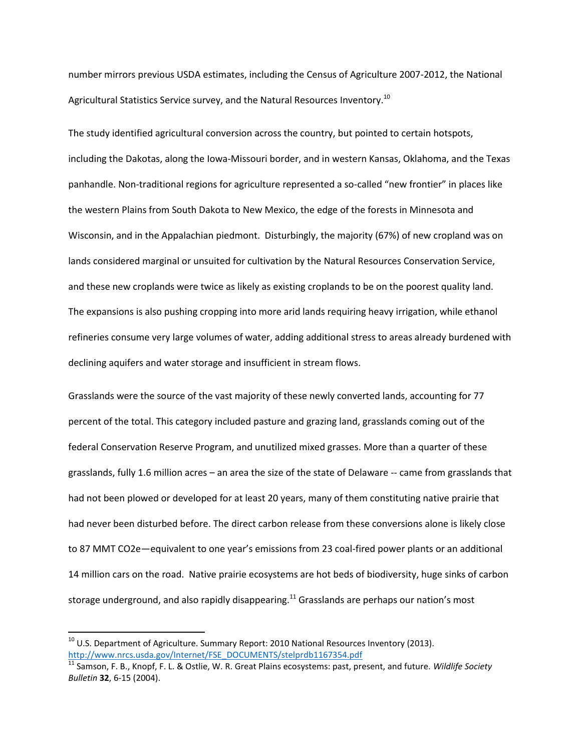number mirrors previous USDA estimates, including the Census of Agriculture 2007-2012, the National Agricultural Statistics Service survey, and the Natural Resources Inventory.<sup>10</sup>

The study identified agricultural conversion across the country, but pointed to certain hotspots, including the Dakotas, along the Iowa-Missouri border, and in western Kansas, Oklahoma, and the Texas panhandle. Non-traditional regions for agriculture represented a so-called "new frontier" in places like the western Plains from South Dakota to New Mexico, the edge of the forests in Minnesota and Wisconsin, and in the Appalachian piedmont. Disturbingly, the majority (67%) of new cropland was on lands considered marginal or unsuited for cultivation by the Natural Resources Conservation Service, and these new croplands were twice as likely as existing croplands to be on the poorest quality land. The expansions is also pushing cropping into more arid lands requiring heavy irrigation, while ethanol refineries consume very large volumes of water, adding additional stress to areas already burdened with declining aquifers and water storage and insufficient in stream flows.

Grasslands were the source of the vast majority of these newly converted lands, accounting for 77 percent of the total. This category included pasture and grazing land, grasslands coming out of the federal Conservation Reserve Program, and unutilized mixed grasses. More than a quarter of these grasslands, fully 1.6 million acres – an area the size of the state of Delaware -- came from grasslands that had not been plowed or developed for at least 20 years, many of them constituting native prairie that had never been disturbed before. The direct carbon release from these conversions alone is likely close to 87 MMT CO2e—equivalent to one year's emissions from 23 coal-fired power plants or an additional 14 million cars on the road. Native prairie ecosystems are hot beds of biodiversity, huge sinks of carbon storage underground, and also rapidly disappearing.<sup>11</sup> Grasslands are perhaps our nation's most

 $10$  U.S. Department of Agriculture. Summary Report: 2010 National Resources Inventory (2013). [http://www.nrcs.usda.gov/Internet/FSE\\_DOCUMENTS/stelprdb1167354.pdf](http://www.nrcs.usda.gov/Internet/FSE_DOCUMENTS/stelprdb1167354.pdf)

<sup>11</sup> Samson, F. B., Knopf, F. L. & Ostlie, W. R. Great Plains ecosystems: past, present, and future. *Wildlife Society Bulletin* **32**, 6-15 (2004).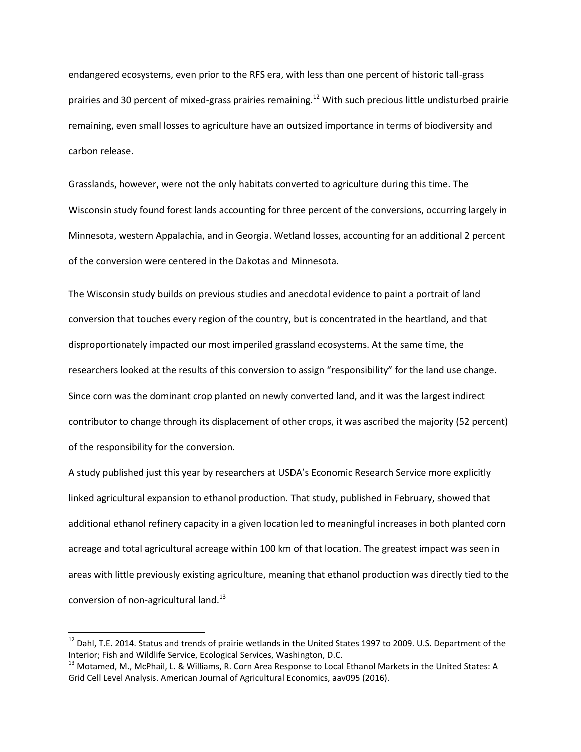endangered ecosystems, even prior to the RFS era, with less than one percent of historic tall-grass prairies and 30 percent of mixed-grass prairies remaining.<sup>12</sup> With such precious little undisturbed prairie remaining, even small losses to agriculture have an outsized importance in terms of biodiversity and carbon release.

Grasslands, however, were not the only habitats converted to agriculture during this time. The Wisconsin study found forest lands accounting for three percent of the conversions, occurring largely in Minnesota, western Appalachia, and in Georgia. Wetland losses, accounting for an additional 2 percent of the conversion were centered in the Dakotas and Minnesota.

The Wisconsin study builds on previous studies and anecdotal evidence to paint a portrait of land conversion that touches every region of the country, but is concentrated in the heartland, and that disproportionately impacted our most imperiled grassland ecosystems. At the same time, the researchers looked at the results of this conversion to assign "responsibility" for the land use change. Since corn was the dominant crop planted on newly converted land, and it was the largest indirect contributor to change through its displacement of other crops, it was ascribed the majority (52 percent) of the responsibility for the conversion.

A study published just this year by researchers at USDA's Economic Research Service more explicitly linked agricultural expansion to ethanol production. That study, published in February, showed that additional ethanol refinery capacity in a given location led to meaningful increases in both planted corn acreage and total agricultural acreage within 100 km of that location. The greatest impact was seen in areas with little previously existing agriculture, meaning that ethanol production was directly tied to the conversion of non-agricultural land.<sup>13</sup>

 $^{12}$  Dahl, T.E. 2014. Status and trends of prairie wetlands in the United States 1997 to 2009. U.S. Department of the Interior; Fish and Wildlife Service, Ecological Services, Washington, D.C.

<sup>&</sup>lt;sup>13</sup> Motamed, M., McPhail, L. & Williams, R. Corn Area Response to Local Ethanol Markets in the United States: A Grid Cell Level Analysis. American Journal of Agricultural Economics, aav095 (2016).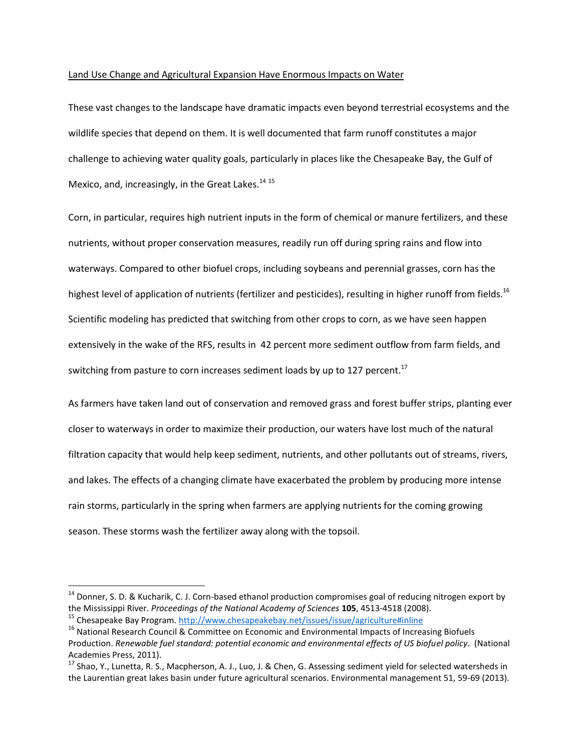# Land Use Change and Agricultural Expansion Have Enormous Impacts on Water

These vast changes to the landscape have dramatic impacts even beyond terrestrial ecosystems and the wildlife species that depend on them. It is well documented that farm runoff constitutes a major challenge to achieving water quality goals, particularly in places like the Chesapeake Bay, the Gulf of Mexico, and, increasingly, in the Great Lakes.<sup>14 15</sup>

Corn, in particular, requires high nutrient inputs in the form of chemical or manure fertilizers, and these nutrients, without proper conservation measures, readily run off during spring rains and flow into waterways. Compared to other biofuel crops, including soybeans and perennial grasses, corn has the highest level of application of nutrients (fertilizer and pesticides), resulting in higher runoff from fields.<sup>16</sup> Scientific modeling has predicted that switching from other crops to corn, as we have seen happen extensively in the wake of the RFS, results in 42 percent more sediment outflow from farm fields, and switching from pasture to corn increases sediment loads by up to 127 percent.<sup>17</sup>

As farmers have taken land out of conservation and removed grass and forest buffer strips, planting ever closer to waterways in order to maximize their production, our waters have lost much of the natural filtration capacity that would help keep sediment, nutrients, and other pollutants out of streams, rivers, and lakes. The effects of a changing climate have exacerbated the problem by producing more intense rain storms, particularly in the spring when farmers are applying nutrients for the coming growing season. These storms wash the fertilizer away along with the topsoil.

<sup>&</sup>lt;sup>14</sup> Donner, S. D. & Kucharik, C. J. Corn-based ethanol production compromises goal of reducing nitrogen export by the Mississippi River. *Proceedings of the National Academy of Sciences* **105**, 4513-4518 (2008). <sup>15</sup> Chesapeake Bay Program[. http://www.chesapeakebay.net/issues/issue/agriculture#inline](http://www.chesapeakebay.net/issues/issue/agriculture#inline)

<sup>&</sup>lt;sup>16</sup> National Research Council & Committee on Economic and Environmental Impacts of Increasing Biofuels Production. *Renewable fuel standard: potential economic and environmental effects of US biofuel policy*. (National Academies Press, 2011).

 $17$  Shao, Y., Lunetta, R. S., Macpherson, A. J., Luo, J. & Chen, G. Assessing sediment yield for selected watersheds in the Laurentian great lakes basin under future agricultural scenarios. Environmental management 51, 59-69 (2013).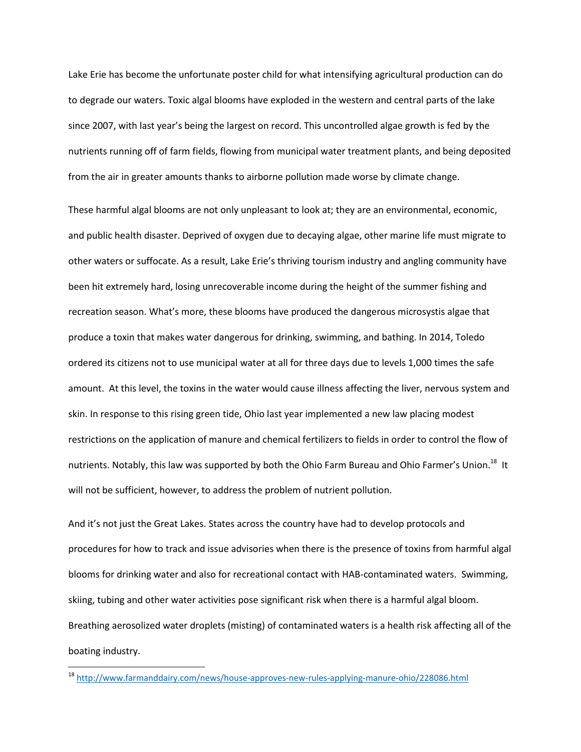Lake Erie has become the unfortunate poster child for what intensifying agricultural production can do to degrade our waters. Toxic algal blooms have exploded in the western and central parts of the lake since 2007, with last year's being the largest on record. This uncontrolled algae growth is fed by the nutrients running off of farm fields, flowing from municipal water treatment plants, and being deposited from the air in greater amounts thanks to airborne pollution made worse by climate change.

These harmful algal blooms are not only unpleasant to look at; they are an environmental, economic, and public health disaster. Deprived of oxygen due to decaying algae, other marine life must migrate to other waters or suffocate. As a result, Lake Erie's thriving tourism industry and angling community have been hit extremely hard, losing unrecoverable income during the height of the summer fishing and recreation season. What's more, these blooms have produced the dangerous microsystis algae that produce a toxin that makes water dangerous for drinking, swimming, and bathing. In 2014, Toledo ordered its citizens not to use municipal water at all for three days due to levels 1,000 times the safe amount. At this level, the toxins in the water would cause illness affecting the liver, nervous system and skin. In response to this rising green tide, Ohio last year implemented a new law placing modest restrictions on the application of manure and chemical fertilizers to fields in order to control the flow of nutrients. Notably, this law was supported by both the Ohio Farm Bureau and Ohio Farmer's Union.<sup>18</sup> It will not be sufficient, however, to address the problem of nutrient pollution.

And it's not just the Great Lakes. States across the country have had to develop protocols and procedures for how to track and issue advisories when there is the presence of toxins from harmful algal blooms for drinking water and also for recreational contact with HAB-contaminated waters. Swimming, skiing, tubing and other water activities pose significant risk when there is a harmful algal bloom. Breathing aerosolized water droplets (misting) of contaminated waters is a health risk affecting all of the boating industry.

<sup>18</sup> <http://www.farmanddairy.com/news/house-approves-new-rules-applying-manure-ohio/228086.html>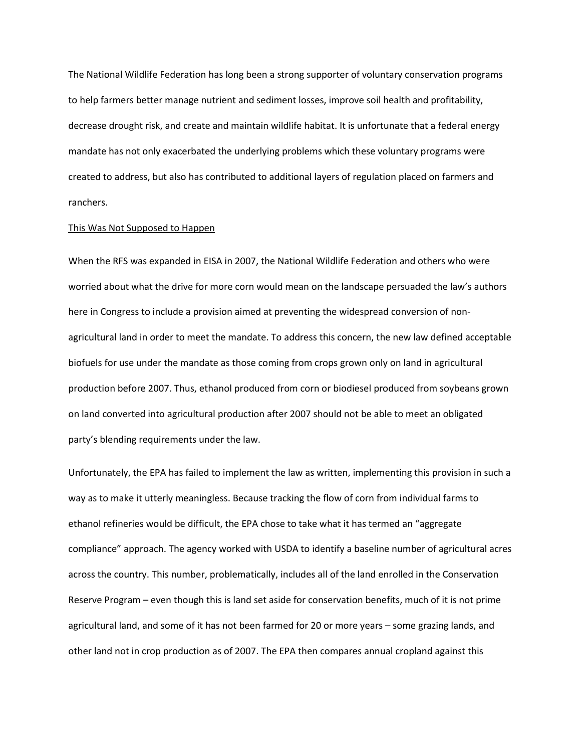The National Wildlife Federation has long been a strong supporter of voluntary conservation programs to help farmers better manage nutrient and sediment losses, improve soil health and profitability, decrease drought risk, and create and maintain wildlife habitat. It is unfortunate that a federal energy mandate has not only exacerbated the underlying problems which these voluntary programs were created to address, but also has contributed to additional layers of regulation placed on farmers and ranchers.

#### This Was Not Supposed to Happen

When the RFS was expanded in EISA in 2007, the National Wildlife Federation and others who were worried about what the drive for more corn would mean on the landscape persuaded the law's authors here in Congress to include a provision aimed at preventing the widespread conversion of nonagricultural land in order to meet the mandate. To address this concern, the new law defined acceptable biofuels for use under the mandate as those coming from crops grown only on land in agricultural production before 2007. Thus, ethanol produced from corn or biodiesel produced from soybeans grown on land converted into agricultural production after 2007 should not be able to meet an obligated party's blending requirements under the law.

Unfortunately, the EPA has failed to implement the law as written, implementing this provision in such a way as to make it utterly meaningless. Because tracking the flow of corn from individual farms to ethanol refineries would be difficult, the EPA chose to take what it has termed an "aggregate compliance" approach. The agency worked with USDA to identify a baseline number of agricultural acres across the country. This number, problematically, includes all of the land enrolled in the Conservation Reserve Program – even though this is land set aside for conservation benefits, much of it is not prime agricultural land, and some of it has not been farmed for 20 or more years – some grazing lands, and other land not in crop production as of 2007. The EPA then compares annual cropland against this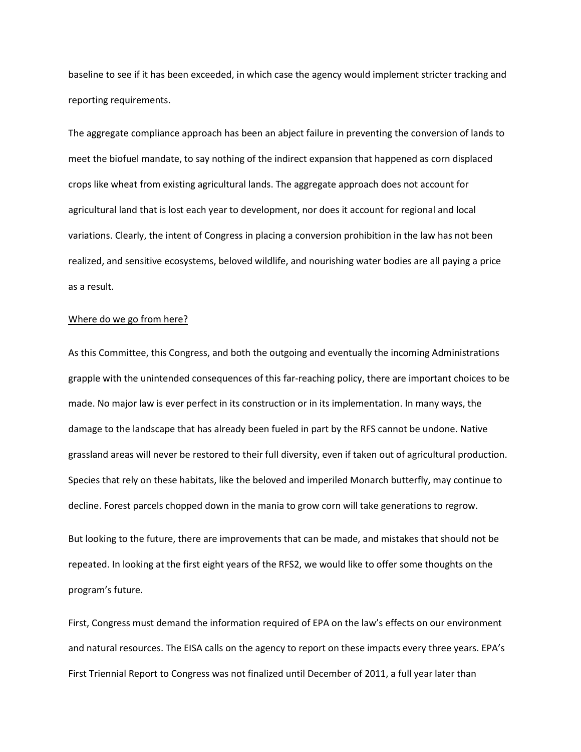baseline to see if it has been exceeded, in which case the agency would implement stricter tracking and reporting requirements.

The aggregate compliance approach has been an abject failure in preventing the conversion of lands to meet the biofuel mandate, to say nothing of the indirect expansion that happened as corn displaced crops like wheat from existing agricultural lands. The aggregate approach does not account for agricultural land that is lost each year to development, nor does it account for regional and local variations. Clearly, the intent of Congress in placing a conversion prohibition in the law has not been realized, and sensitive ecosystems, beloved wildlife, and nourishing water bodies are all paying a price as a result.

## Where do we go from here?

As this Committee, this Congress, and both the outgoing and eventually the incoming Administrations grapple with the unintended consequences of this far-reaching policy, there are important choices to be made. No major law is ever perfect in its construction or in its implementation. In many ways, the damage to the landscape that has already been fueled in part by the RFS cannot be undone. Native grassland areas will never be restored to their full diversity, even if taken out of agricultural production. Species that rely on these habitats, like the beloved and imperiled Monarch butterfly, may continue to decline. Forest parcels chopped down in the mania to grow corn will take generations to regrow.

But looking to the future, there are improvements that can be made, and mistakes that should not be repeated. In looking at the first eight years of the RFS2, we would like to offer some thoughts on the program's future.

First, Congress must demand the information required of EPA on the law's effects on our environment and natural resources. The EISA calls on the agency to report on these impacts every three years. EPA's First Triennial Report to Congress was not finalized until December of 2011, a full year later than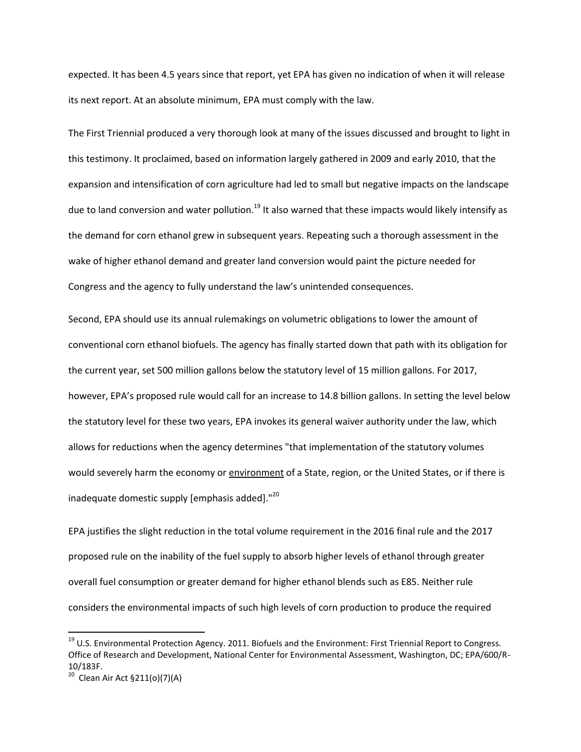expected. It has been 4.5 years since that report, yet EPA has given no indication of when it will release its next report. At an absolute minimum, EPA must comply with the law.

The First Triennial produced a very thorough look at many of the issues discussed and brought to light in this testimony. It proclaimed, based on information largely gathered in 2009 and early 2010, that the expansion and intensification of corn agriculture had led to small but negative impacts on the landscape due to land conversion and water pollution.<sup>19</sup> It also warned that these impacts would likely intensify as the demand for corn ethanol grew in subsequent years. Repeating such a thorough assessment in the wake of higher ethanol demand and greater land conversion would paint the picture needed for Congress and the agency to fully understand the law's unintended consequences.

Second, EPA should use its annual rulemakings on volumetric obligations to lower the amount of conventional corn ethanol biofuels. The agency has finally started down that path with its obligation for the current year, set 500 million gallons below the statutory level of 15 million gallons. For 2017, however, EPA's proposed rule would call for an increase to 14.8 billion gallons. In setting the level below the statutory level for these two years, EPA invokes its general waiver authority under the law, which allows for reductions when the agency determines "that implementation of the statutory volumes would severely harm the economy or environment of a State, region, or the United States, or if there is inadequate domestic supply [emphasis added]."<sup>20</sup>

EPA justifies the slight reduction in the total volume requirement in the 2016 final rule and the 2017 proposed rule on the inability of the fuel supply to absorb higher levels of ethanol through greater overall fuel consumption or greater demand for higher ethanol blends such as E85. Neither rule considers the environmental impacts of such high levels of corn production to produce the required

<sup>&</sup>lt;sup>19</sup> U.S. Environmental Protection Agency. 2011. Biofuels and the Environment: First Triennial Report to Congress. Office of Research and Development, National Center for Environmental Assessment, Washington, DC; EPA/600/R-10/183F.

<sup>&</sup>lt;sup>20</sup> Clean Air Act §211(o)(7)(A)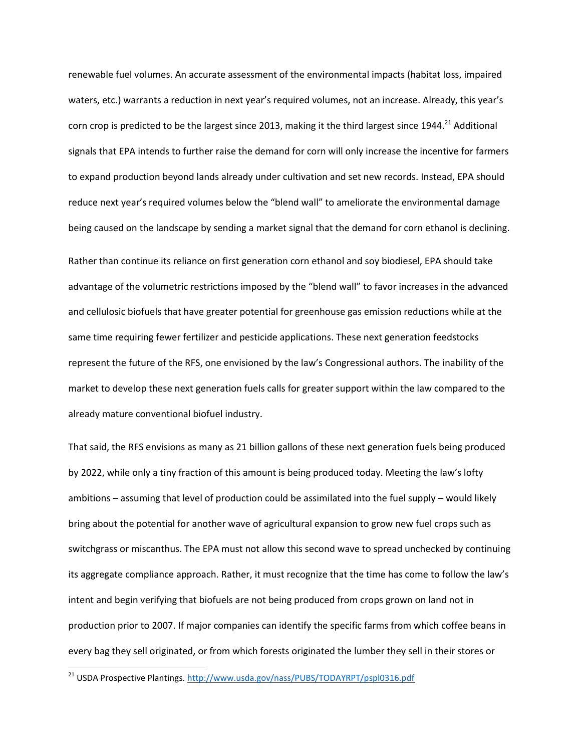renewable fuel volumes. An accurate assessment of the environmental impacts (habitat loss, impaired waters, etc.) warrants a reduction in next year's required volumes, not an increase. Already, this year's corn crop is predicted to be the largest since 2013, making it the third largest since 1944.<sup>21</sup> Additional signals that EPA intends to further raise the demand for corn will only increase the incentive for farmers to expand production beyond lands already under cultivation and set new records. Instead, EPA should reduce next year's required volumes below the "blend wall" to ameliorate the environmental damage being caused on the landscape by sending a market signal that the demand for corn ethanol is declining. Rather than continue its reliance on first generation corn ethanol and soy biodiesel, EPA should take advantage of the volumetric restrictions imposed by the "blend wall" to favor increases in the advanced and cellulosic biofuels that have greater potential for greenhouse gas emission reductions while at the same time requiring fewer fertilizer and pesticide applications. These next generation feedstocks represent the future of the RFS, one envisioned by the law's Congressional authors. The inability of the market to develop these next generation fuels calls for greater support within the law compared to the already mature conventional biofuel industry.

That said, the RFS envisions as many as 21 billion gallons of these next generation fuels being produced by 2022, while only a tiny fraction of this amount is being produced today. Meeting the law's lofty ambitions – assuming that level of production could be assimilated into the fuel supply – would likely bring about the potential for another wave of agricultural expansion to grow new fuel crops such as switchgrass or miscanthus. The EPA must not allow this second wave to spread unchecked by continuing its aggregate compliance approach. Rather, it must recognize that the time has come to follow the law's intent and begin verifying that biofuels are not being produced from crops grown on land not in production prior to 2007. If major companies can identify the specific farms from which coffee beans in every bag they sell originated, or from which forests originated the lumber they sell in their stores or

<sup>&</sup>lt;sup>21</sup> USDA Prospective Plantings[. http://www.usda.gov/nass/PUBS/TODAYRPT/pspl0316.pdf](http://www.usda.gov/nass/PUBS/TODAYRPT/pspl0316.pdf)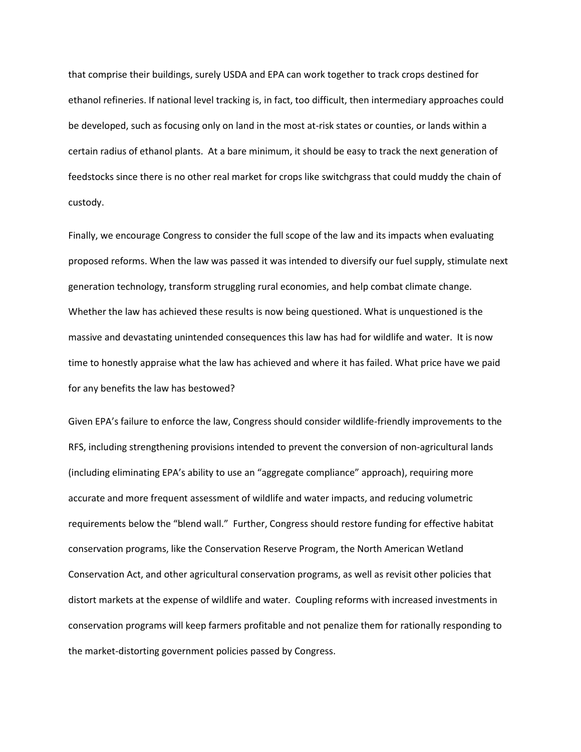that comprise their buildings, surely USDA and EPA can work together to track crops destined for ethanol refineries. If national level tracking is, in fact, too difficult, then intermediary approaches could be developed, such as focusing only on land in the most at-risk states or counties, or lands within a certain radius of ethanol plants. At a bare minimum, it should be easy to track the next generation of feedstocks since there is no other real market for crops like switchgrass that could muddy the chain of custody.

Finally, we encourage Congress to consider the full scope of the law and its impacts when evaluating proposed reforms. When the law was passed it was intended to diversify our fuel supply, stimulate next generation technology, transform struggling rural economies, and help combat climate change. Whether the law has achieved these results is now being questioned. What is unquestioned is the massive and devastating unintended consequences this law has had for wildlife and water. It is now time to honestly appraise what the law has achieved and where it has failed. What price have we paid for any benefits the law has bestowed?

Given EPA's failure to enforce the law, Congress should consider wildlife-friendly improvements to the RFS, including strengthening provisions intended to prevent the conversion of non-agricultural lands (including eliminating EPA's ability to use an "aggregate compliance" approach), requiring more accurate and more frequent assessment of wildlife and water impacts, and reducing volumetric requirements below the "blend wall." Further, Congress should restore funding for effective habitat conservation programs, like the Conservation Reserve Program, the North American Wetland Conservation Act, and other agricultural conservation programs, as well as revisit other policies that distort markets at the expense of wildlife and water. Coupling reforms with increased investments in conservation programs will keep farmers profitable and not penalize them for rationally responding to the market-distorting government policies passed by Congress.